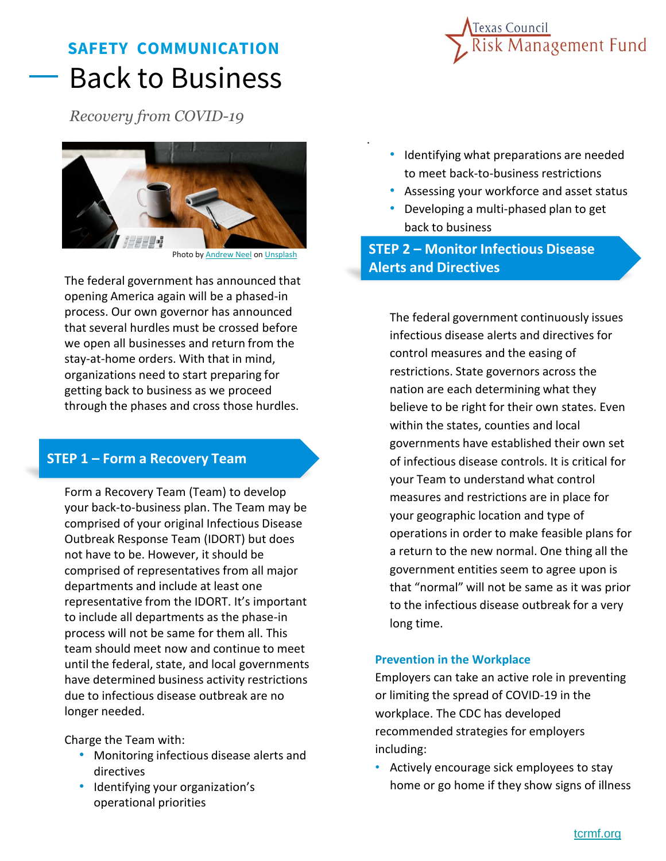# **SAFETY COMMUNICATION** Back to Business



*Recovery from COVID-19*



Photo by **[Andrew Neel](https://unsplash.com/@andrewtneel?utm_source=unsplash&utm_medium=referral&utm_content=creditCopyText)** on **[Unsplash](https://unsplash.com/s/photos/work-at-home?utm_source=unsplash&utm_medium=referral&utm_content=creditCopyText)** 

The federal government has announced that opening America again will be a phased-in process. Our own governor has announced that several hurdles must be crossed before we open all businesses and return from the stay-at-home orders. With that in mind, organizations need to start preparing for getting back to business as we proceed through the phases and cross those hurdles.

#### **STEP 1 – Form a Recovery Team**

Form a Recovery Team (Team) to develop your back-to-business plan. The Team may be comprised of your original Infectious Disease Outbreak Response Team (IDORT) but does not have to be. However, it should be comprised of representatives from all major departments and include at least one representative from the IDORT. It's important to include all departments as the phase-in process will not be same for them all. This team should meet now and continue to meet until the federal, state, and local governments have determined business activity restrictions due to infectious disease outbreak are no longer needed.

Charge the Team with:

- Monitoring infectious disease alerts and directives
- Identifying your organization's operational priorities
- Identifying what preparations are needed to meet back-to-business restrictions
- Assessing your workforce and asset status
- Developing a multi-phased plan to get back to business

**STEP 2 – Monitor Infectious Disease Alerts and Directives**

.

The federal government continuously issues infectious disease alerts and directives for control measures and the easing of restrictions. State governors across the nation are each determining what they believe to be right for their own states. Even within the states, counties and local governments have established their own set of infectious disease controls. It is critical for your Team to understand what control measures and restrictions are in place for your geographic location and type of operations in order to make feasible plans for a return to the new normal. One thing all the government entities seem to agree upon is that "normal" will not be same as it was prior to the infectious disease outbreak for a very long time.

#### **Prevention in the Workplace**

Employers can take an active role in preventing or limiting the spread of COVID-19 in the workplace. The CDC has developed recommended strategies for employers including:

• Actively encourage sick employees to stay home or go home if they show signs of illness

[tcrmf.org](https://www.tcrmf.org/)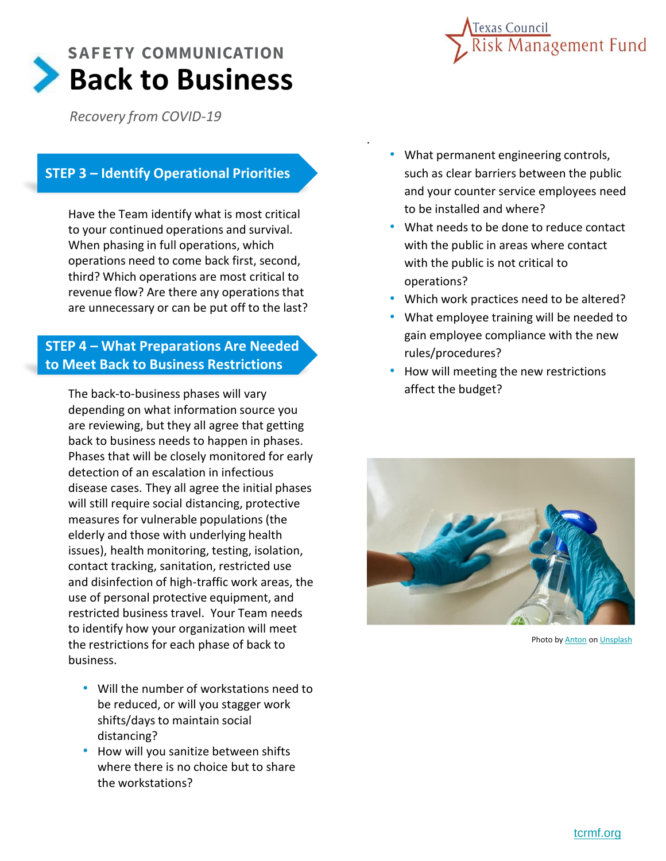



*Recovery from COVID-19*

# **STEP 3 – Identify Operational Priorities**

Have the Team identify what is most critical to your continued operations and survival. When phasing in full operations, which operations need to come back first, second, third? Which operations are most critical to revenue flow? Are there any operations that are unnecessary or can be put off to the last?

## **STEP 4 – What Preparations Are Needed to Meet Back to Business Restrictions**

The back-to-business phases will vary depending on what information source you are reviewing, but they all agree that getting back to business needs to happen in phases. Phases that will be closely monitored for early detection of an escalation in infectious disease cases. They all agree the initial phases will still require social distancing, protective measures for vulnerable populations (the elderly and those with underlying health issues), health monitoring, testing, isolation, contact tracking, sanitation, restricted use and disinfection of high-traffic work areas, the use of personal protective equipment, and restricted business travel. Your Team needs to identify how your organization will meet the restrictions for each phase of back to business.

- Will the number of workstations need to be reduced, or will you stagger work shifts/days to maintain social distancing?
- How will you sanitize between shifts where there is no choice but to share the workstations?

• What permanent engineering controls, such as clear barriers between the public and your counter service employees need to be installed and where?

.

- What needs to be done to reduce contact with the public in areas where contact with the public is not critical to operations?
- Which work practices need to be altered?
- What employee training will be needed to gain employee compliance with the new rules/procedures?
- How will meeting the new restrictions affect the budget?



Photo by **[Anton](https://unsplash.com/@uniqueton?utm_source=unsplash&utm_medium=referral&utm_content=creditCopyText)** on **[Unsplash](https://unsplash.com/s/photos/social-distancing?utm_source=unsplash&utm_medium=referral&utm_content=creditCopyText)**